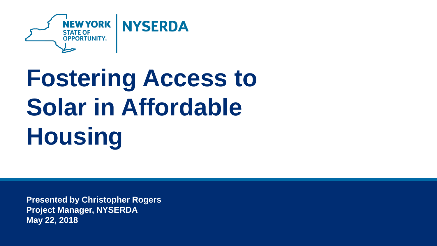

# **Fostering Access to Solar in Affordable Housing**

**Presented by Christopher Rogers Project Manager, NYSERDA May 22, 2018**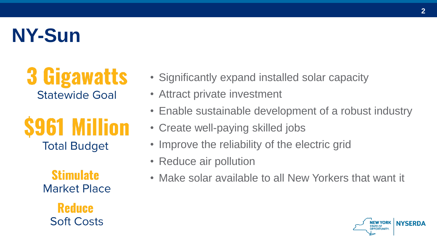### **NY-Sun**

#### **3 Gigawatts Statewide Goal**

**S961 Million Total Budget** 

> **Stimulate Market Place**

**Reduce Soft Costs** 

- Significantly expand installed solar capacity
- Attract private investment
- Enable sustainable development of a robust industry
- Create well-paying skilled jobs
- Improve the reliability of the electric grid
- Reduce air pollution
- Make solar available to all New Yorkers that want it

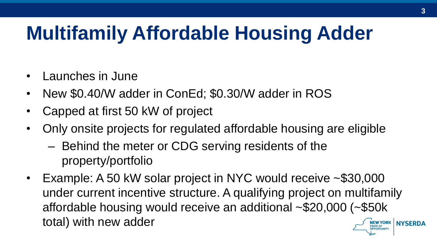## **Multifamily Affordable Housing Adder**

- Launches in June
- New \$0.40/W adder in ConEd; \$0.30/W adder in ROS
- Capped at first 50 kW of project
- Only onsite projects for regulated affordable housing are eligible
	- Behind the meter or CDG serving residents of the property/portfolio
- Example: A 50 kW solar project in NYC would receive ~\$30,000 under current incentive structure. A qualifying project on multifamily affordable housing would receive an additional ~\$20,000 (~\$50k total) with new adder**NEW YORK NYSERDA**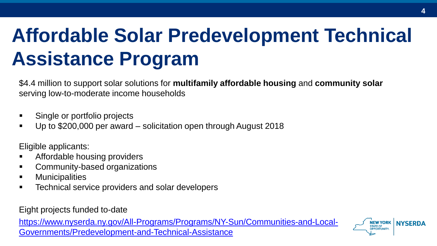# **Affordable Solar Predevelopment Technical Assistance Program**

\$4.4 million to support solar solutions for **multifamily affordable housing** and **community solar**  serving low-to-moderate income households

- Single or portfolio projects
- Up to \$200,000 per award solicitation open through August 2018

Eligible applicants:

- **EXECUTE:** Affordable housing providers
- **EXECOMMUNITY-based organizations**
- **•** Municipalities
- **EXEC** Technical service providers and solar developers

Eight projects funded to-date

[https://www.nyserda.ny.gov/All-Programs/Programs/NY-Sun/Communities-and-Local-](https://www.nyserda.ny.gov/All-Programs/Programs/NY-Sun/Communities-and-Local-Governments/Predevelopment-and-Technical-Assistance)Governments/Predevelopment-and-Technical-Assistance